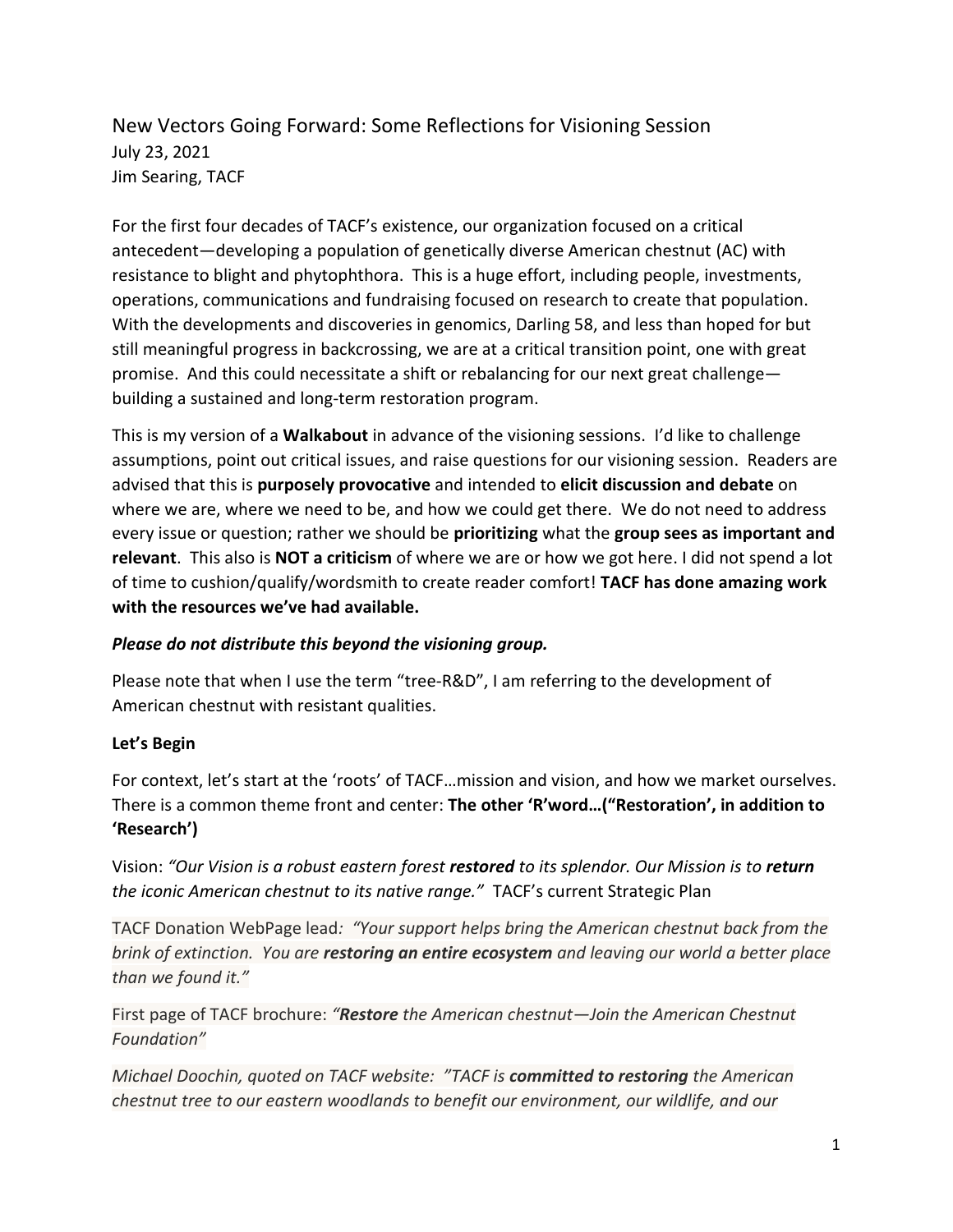### New Vectors Going Forward: Some Reflections for Visioning Session July 23, 2021 Jim Searing, TACF

For the first four decades of TACF's existence, our organization focused on a critical antecedent—developing a population of genetically diverse American chestnut (AC) with resistance to blight and phytophthora. This is a huge effort, including people, investments, operations, communications and fundraising focused on research to create that population. With the developments and discoveries in genomics, Darling 58, and less than hoped for but still meaningful progress in backcrossing, we are at a critical transition point, one with great promise. And this could necessitate a shift or rebalancing for our next great challenge building a sustained and long-term restoration program.

This is my version of a **Walkabout** in advance of the visioning sessions. I'd like to challenge assumptions, point out critical issues, and raise questions for our visioning session. Readers are advised that this is **purposely provocative** and intended to **elicit discussion and debate** on where we are, where we need to be, and how we could get there. We do not need to address every issue or question; rather we should be **prioritizing** what the **group sees as important and relevant**. This also is **NOT a criticism** of where we are or how we got here. I did not spend a lot of time to cushion/qualify/wordsmith to create reader comfort! **TACF has done amazing work with the resources we've had available.** 

#### *Please do not distribute this beyond the visioning group.*

Please note that when I use the term "tree-R&D", I am referring to the development of American chestnut with resistant qualities.

### **Let's Begin**

For context, let's start at the 'roots' of TACF…mission and vision, and how we market ourselves. There is a common theme front and center: **The other 'R'word…("Restoration', in addition to 'Research')**

Vision: *"Our Vision is a robust eastern forest restored to its splendor. Our Mission is to return the iconic American chestnut to its native range."* TACF's current Strategic Plan

TACF Donation WebPage lead*: "Your support helps bring the American chestnut back from the brink of extinction. You are restoring an entire ecosystem and leaving our world a better place than we found it."*

First page of TACF brochure: *"Restore the American chestnut—Join the American Chestnut Foundation"*

*Michael Doochin, quoted on TACF website: "TACF is committed to restoring the American chestnut tree to our eastern woodlands to benefit our environment, our wildlife, and our*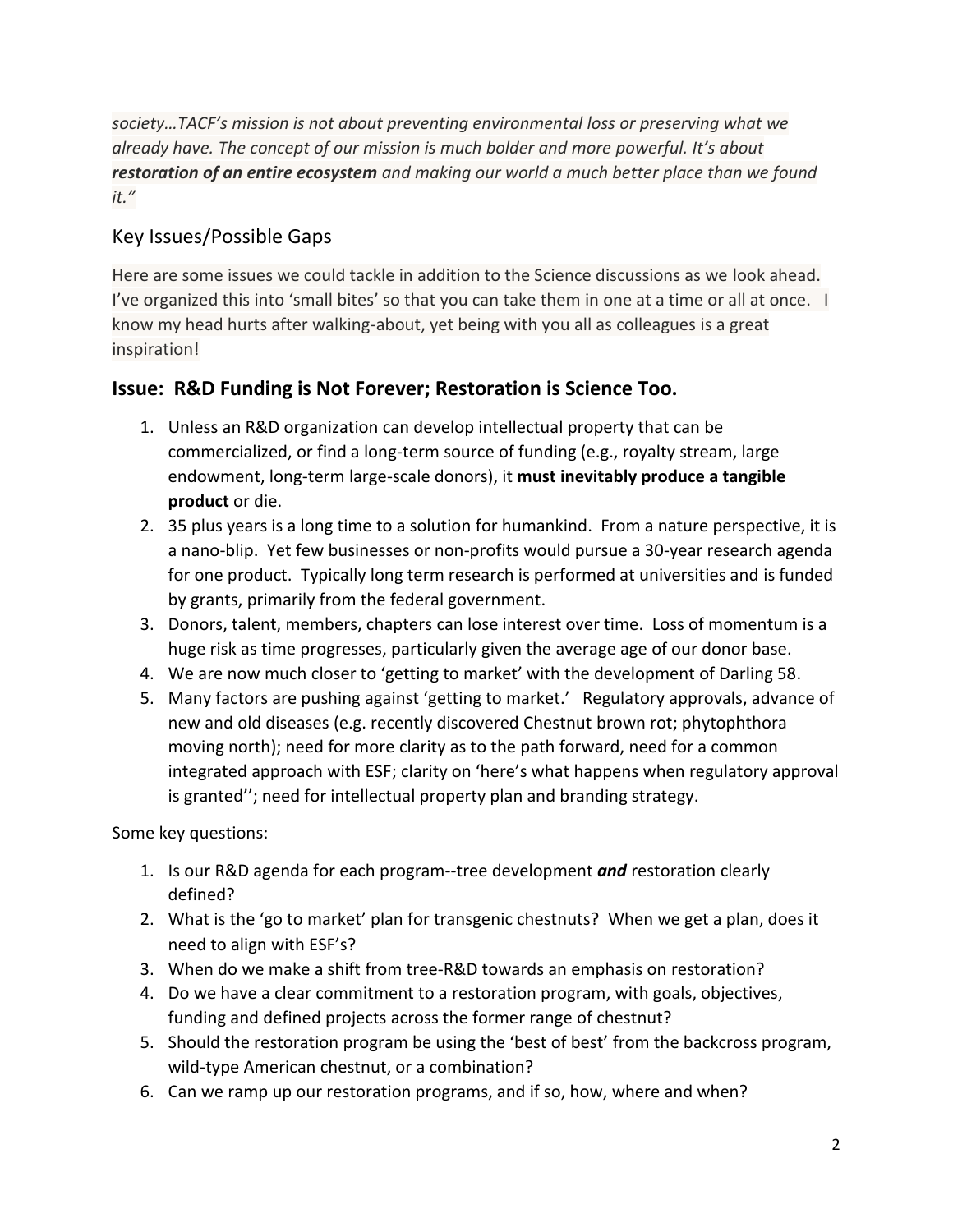*society…TACF's mission is not about preventing environmental loss or preserving what we already have. The concept of our mission is much bolder and more powerful. It's about restoration of an entire ecosystem and making our world a much better place than we found it."*

### Key Issues/Possible Gaps

Here are some issues we could tackle in addition to the Science discussions as we look ahead. I've organized this into 'small bites' so that you can take them in one at a time or all at once. I know my head hurts after walking-about, yet being with you all as colleagues is a great inspiration!

### **Issue: R&D Funding is Not Forever; Restoration is Science Too.**

- 1. Unless an R&D organization can develop intellectual property that can be commercialized, or find a long-term source of funding (e.g., royalty stream, large endowment, long-term large-scale donors), it **must inevitably produce a tangible product** or die.
- 2. 35 plus years is a long time to a solution for humankind. From a nature perspective, it is a nano-blip. Yet few businesses or non-profits would pursue a 30-year research agenda for one product. Typically long term research is performed at universities and is funded by grants, primarily from the federal government.
- 3. Donors, talent, members, chapters can lose interest over time. Loss of momentum is a huge risk as time progresses, particularly given the average age of our donor base.
- 4. We are now much closer to 'getting to market' with the development of Darling 58.
- 5. Many factors are pushing against 'getting to market.' Regulatory approvals, advance of new and old diseases (e.g. recently discovered Chestnut brown rot; phytophthora moving north); need for more clarity as to the path forward, need for a common integrated approach with ESF; clarity on 'here's what happens when regulatory approval is granted''; need for intellectual property plan and branding strategy.

Some key questions:

- 1. Is our R&D agenda for each program--tree development *and* restoration clearly defined?
- 2. What is the 'go to market' plan for transgenic chestnuts? When we get a plan, does it need to align with ESF's?
- 3. When do we make a shift from tree-R&D towards an emphasis on restoration?
- 4. Do we have a clear commitment to a restoration program, with goals, objectives, funding and defined projects across the former range of chestnut?
- 5. Should the restoration program be using the 'best of best' from the backcross program, wild-type American chestnut, or a combination?
- 6. Can we ramp up our restoration programs, and if so, how, where and when?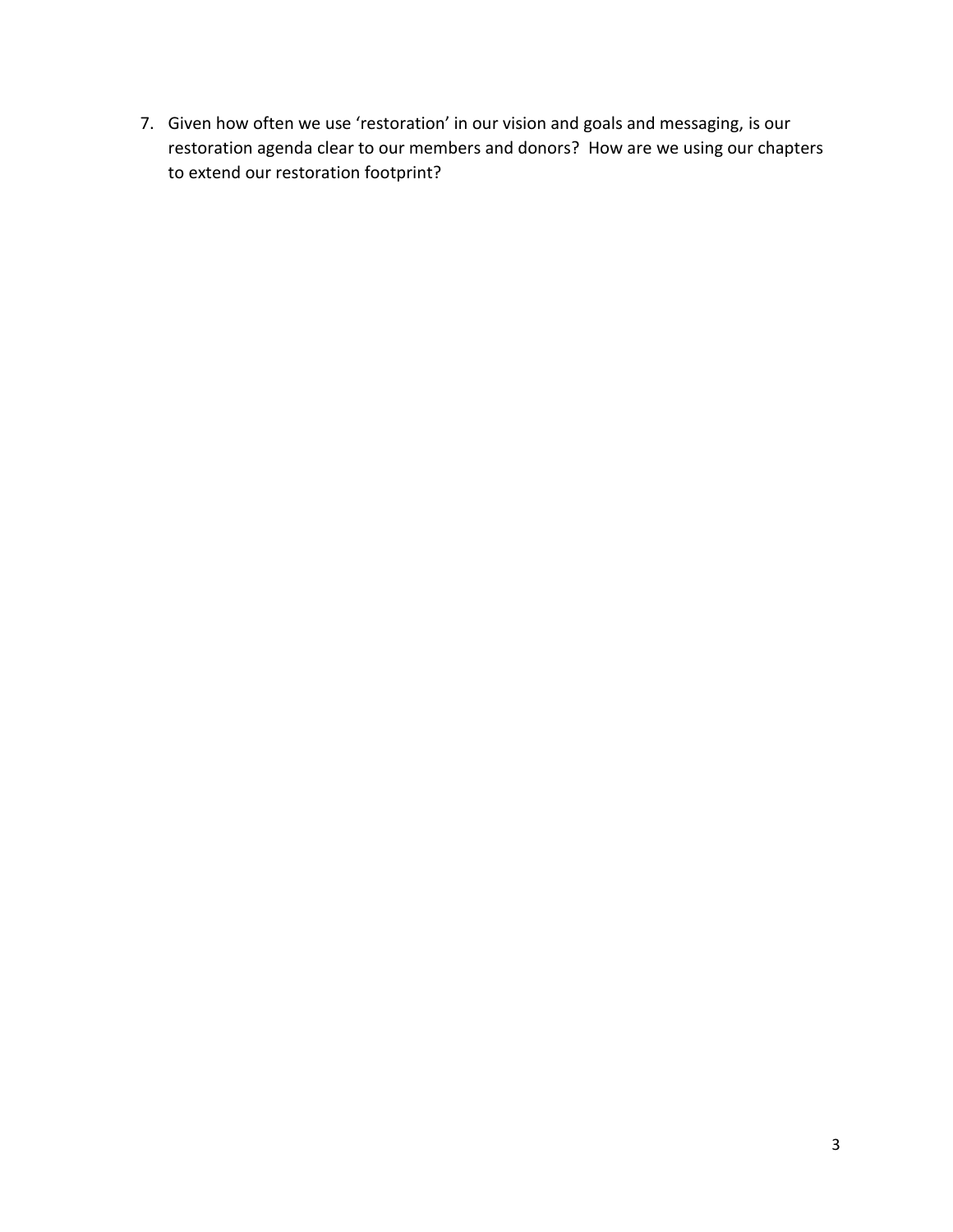7. Given how often we use 'restoration' in our vision and goals and messaging, is our restoration agenda clear to our members and donors? How are we using our chapters to extend our restoration footprint?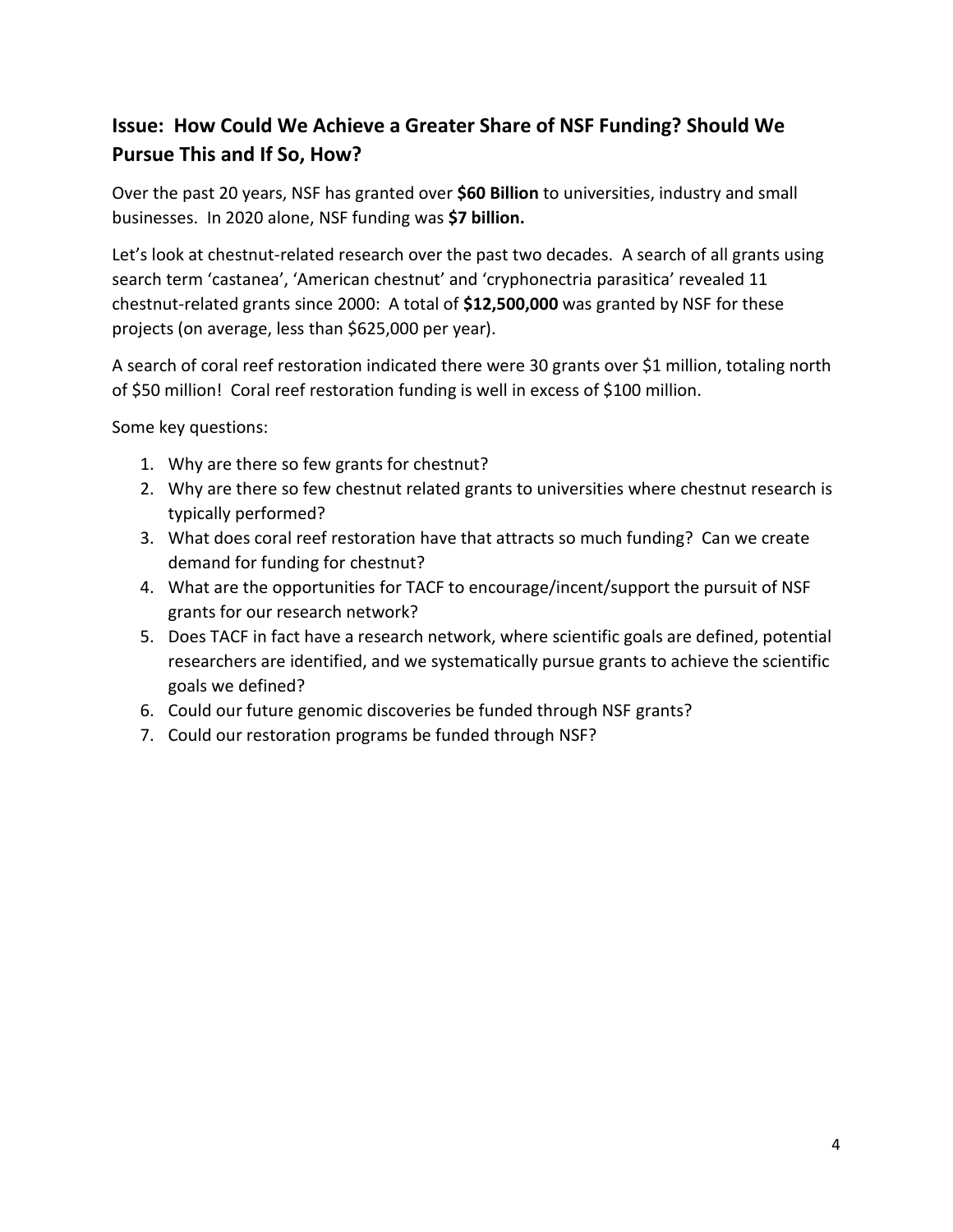## **Issue: How Could We Achieve a Greater Share of NSF Funding? Should We Pursue This and If So, How?**

Over the past 20 years, NSF has granted over **\$60 Billion** to universities, industry and small businesses. In 2020 alone, NSF funding was **\$7 billion.**

Let's look at chestnut-related research over the past two decades. A search of all grants using search term 'castanea', 'American chestnut' and 'cryphonectria parasitica' revealed 11 chestnut-related grants since 2000: A total of **\$12,500,000** was granted by NSF for these projects (on average, less than \$625,000 per year).

A search of coral reef restoration indicated there were 30 grants over \$1 million, totaling north of \$50 million! Coral reef restoration funding is well in excess of \$100 million.

Some key questions:

- 1. Why are there so few grants for chestnut?
- 2. Why are there so few chestnut related grants to universities where chestnut research is typically performed?
- 3. What does coral reef restoration have that attracts so much funding? Can we create demand for funding for chestnut?
- 4. What are the opportunities for TACF to encourage/incent/support the pursuit of NSF grants for our research network?
- 5. Does TACF in fact have a research network, where scientific goals are defined, potential researchers are identified, and we systematically pursue grants to achieve the scientific goals we defined?
- 6. Could our future genomic discoveries be funded through NSF grants?
- 7. Could our restoration programs be funded through NSF?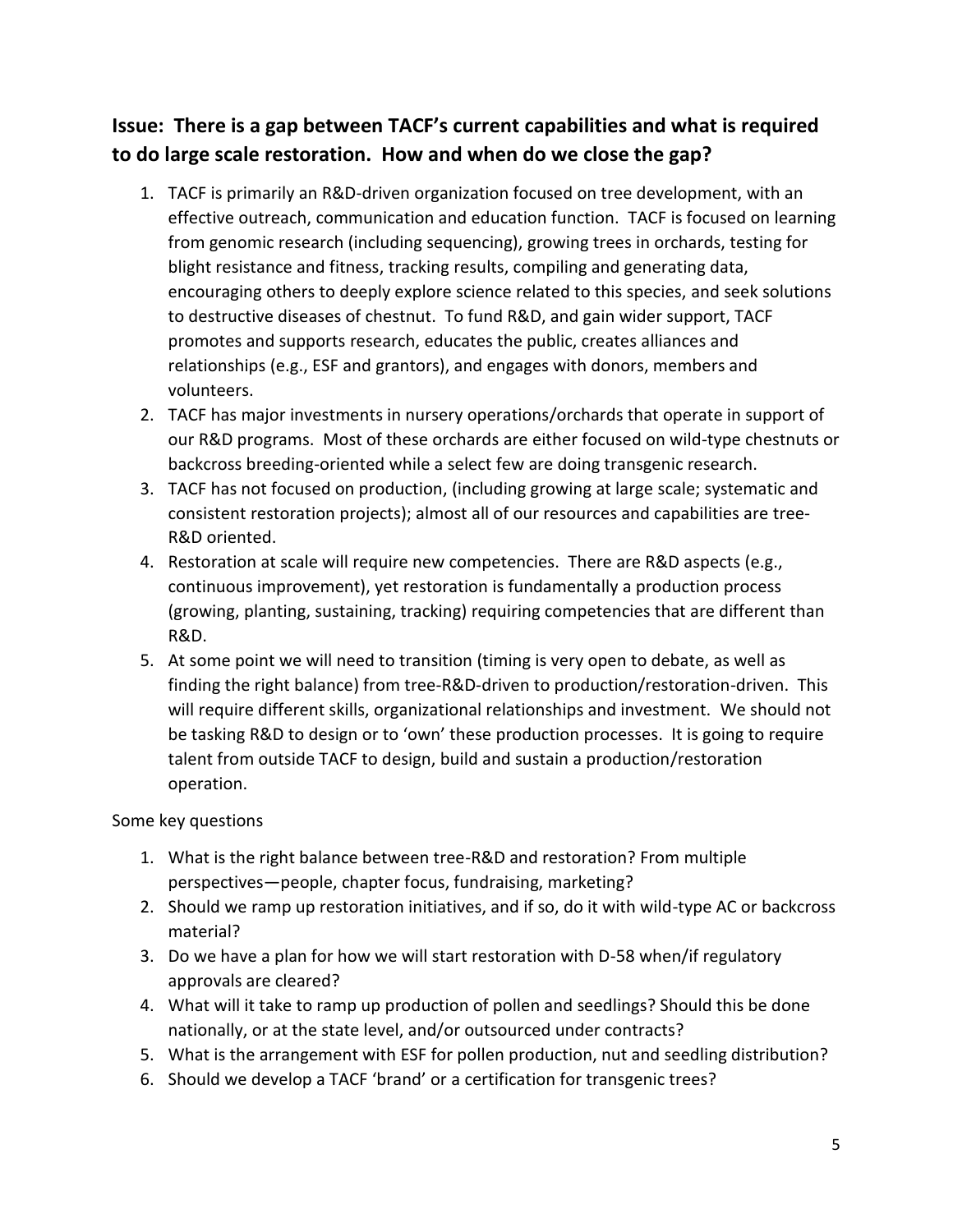## **Issue: There is a gap between TACF's current capabilities and what is required to do large scale restoration. How and when do we close the gap?**

- 1. TACF is primarily an R&D-driven organization focused on tree development, with an effective outreach, communication and education function. TACF is focused on learning from genomic research (including sequencing), growing trees in orchards, testing for blight resistance and fitness, tracking results, compiling and generating data, encouraging others to deeply explore science related to this species, and seek solutions to destructive diseases of chestnut. To fund R&D, and gain wider support, TACF promotes and supports research, educates the public, creates alliances and relationships (e.g., ESF and grantors), and engages with donors, members and volunteers.
- 2. TACF has major investments in nursery operations/orchards that operate in support of our R&D programs. Most of these orchards are either focused on wild-type chestnuts or backcross breeding-oriented while a select few are doing transgenic research.
- 3. TACF has not focused on production, (including growing at large scale; systematic and consistent restoration projects); almost all of our resources and capabilities are tree-R&D oriented.
- 4. Restoration at scale will require new competencies. There are R&D aspects (e.g., continuous improvement), yet restoration is fundamentally a production process (growing, planting, sustaining, tracking) requiring competencies that are different than R&D.
- 5. At some point we will need to transition (timing is very open to debate, as well as finding the right balance) from tree-R&D-driven to production/restoration-driven. This will require different skills, organizational relationships and investment. We should not be tasking R&D to design or to 'own' these production processes. It is going to require talent from outside TACF to design, build and sustain a production/restoration operation.

#### Some key questions

- 1. What is the right balance between tree-R&D and restoration? From multiple perspectives—people, chapter focus, fundraising, marketing?
- 2. Should we ramp up restoration initiatives, and if so, do it with wild-type AC or backcross material?
- 3. Do we have a plan for how we will start restoration with D-58 when/if regulatory approvals are cleared?
- 4. What will it take to ramp up production of pollen and seedlings? Should this be done nationally, or at the state level, and/or outsourced under contracts?
- 5. What is the arrangement with ESF for pollen production, nut and seedling distribution?
- 6. Should we develop a TACF 'brand' or a certification for transgenic trees?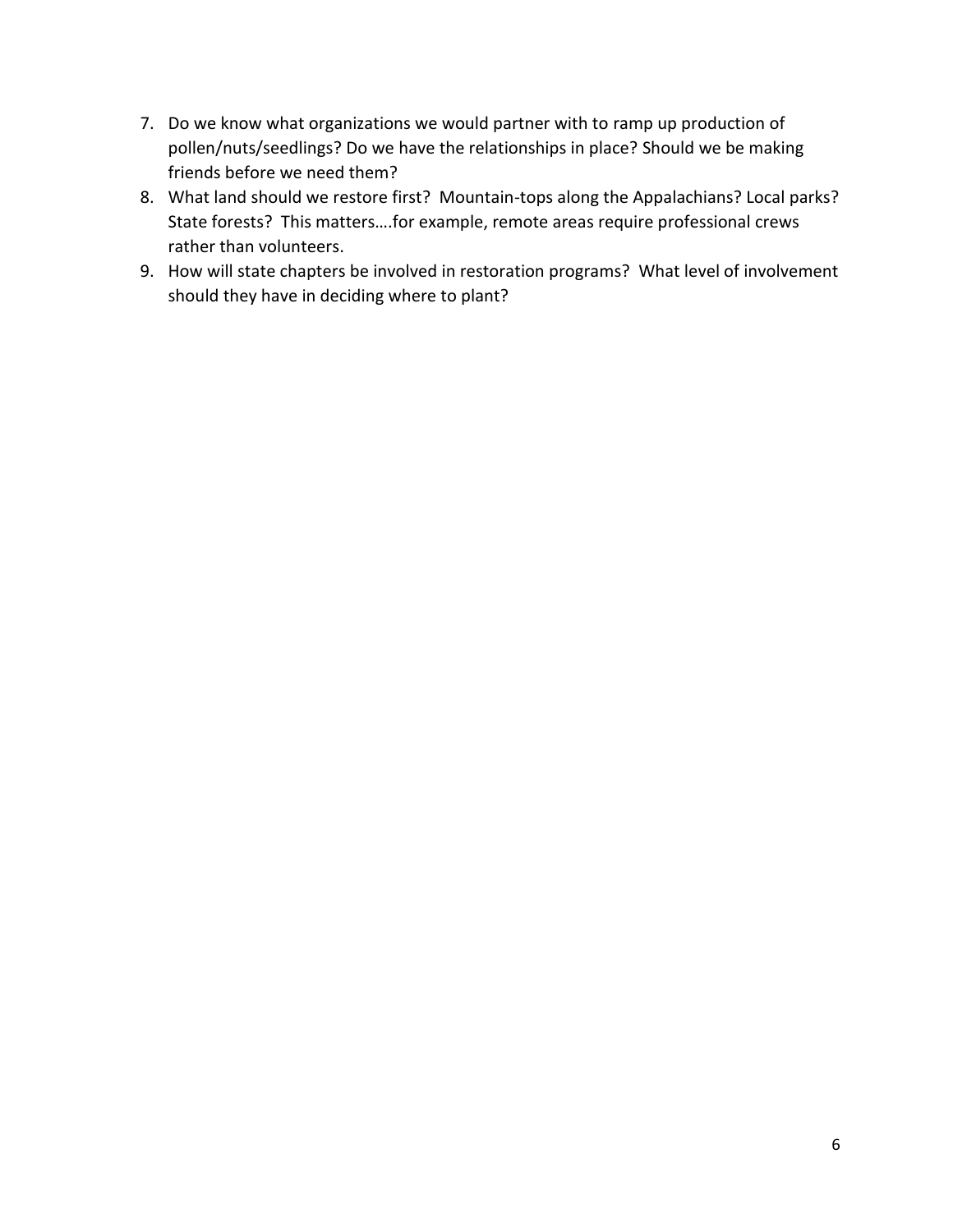- 7. Do we know what organizations we would partner with to ramp up production of pollen/nuts/seedlings? Do we have the relationships in place? Should we be making friends before we need them?
- 8. What land should we restore first? Mountain-tops along the Appalachians? Local parks? State forests? This matters….for example, remote areas require professional crews rather than volunteers.
- 9. How will state chapters be involved in restoration programs? What level of involvement should they have in deciding where to plant?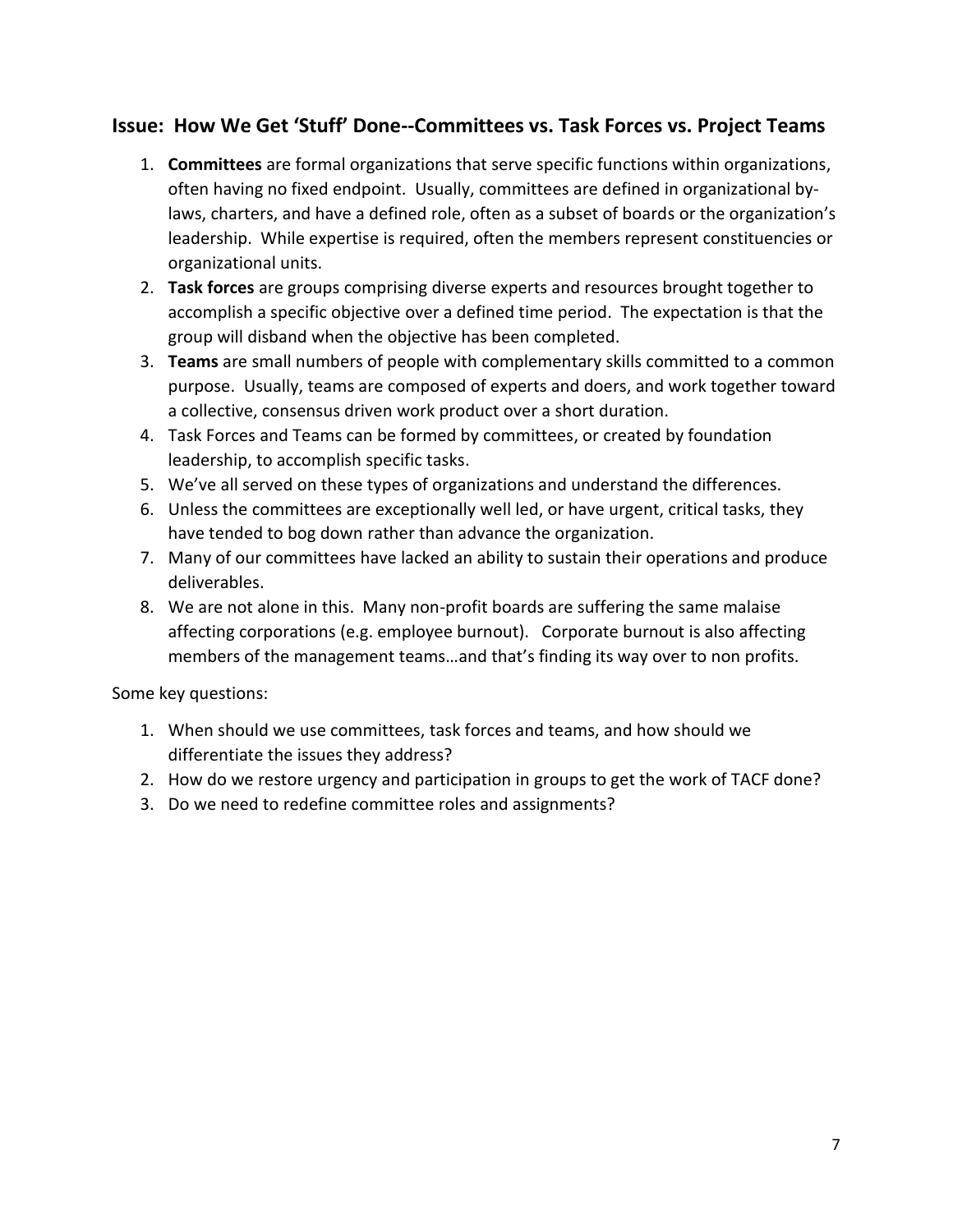### **Issue: How We Get 'Stuff' Done--Committees vs. Task Forces vs. Project Teams**

- 1. **Committees** are formal organizations that serve specific functions within organizations, often having no fixed endpoint. Usually, committees are defined in organizational bylaws, charters, and have a defined role, often as a subset of boards or the organization's leadership. While expertise is required, often the members represent constituencies or organizational units.
- 2. **Task forces** are groups comprising diverse experts and resources brought together to accomplish a specific objective over a defined time period. The expectation is that the group will disband when the objective has been completed.
- 3. **Teams** are small numbers of people with complementary skills committed to a common purpose. Usually, teams are composed of experts and doers, and work together toward a collective, consensus driven work product over a short duration.
- 4. Task Forces and Teams can be formed by committees, or created by foundation leadership, to accomplish specific tasks.
- 5. We've all served on these types of organizations and understand the differences.
- 6. Unless the committees are exceptionally well led, or have urgent, critical tasks, they have tended to bog down rather than advance the organization.
- 7. Many of our committees have lacked an ability to sustain their operations and produce deliverables.
- 8. We are not alone in this. Many non-profit boards are suffering the same malaise affecting corporations (e.g. employee burnout). Corporate burnout is also affecting members of the management teams…and that's finding its way over to non profits.

Some key questions:

- 1. When should we use committees, task forces and teams, and how should we differentiate the issues they address?
- 2. How do we restore urgency and participation in groups to get the work of TACF done?
- 3. Do we need to redefine committee roles and assignments?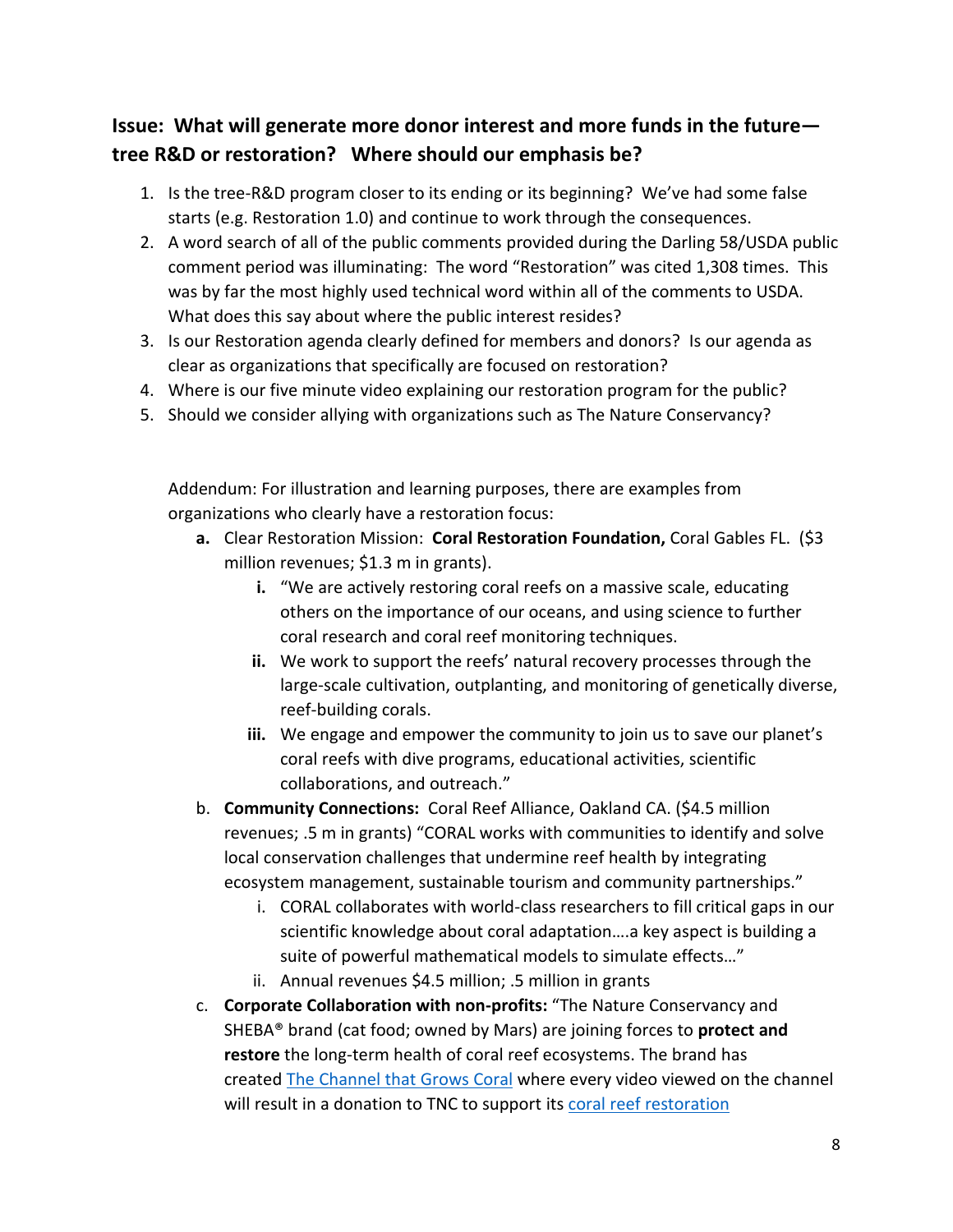## **Issue: What will generate more donor interest and more funds in the future tree R&D or restoration? Where should our emphasis be?**

- 1. Is the tree-R&D program closer to its ending or its beginning? We've had some false starts (e.g. Restoration 1.0) and continue to work through the consequences.
- 2. A word search of all of the public comments provided during the Darling 58/USDA public comment period was illuminating: The word "Restoration" was cited 1,308 times. This was by far the most highly used technical word within all of the comments to USDA. What does this say about where the public interest resides?
- 3. Is our Restoration agenda clearly defined for members and donors? Is our agenda as clear as organizations that specifically are focused on restoration?
- 4. Where is our five minute video explaining our restoration program for the public?
- 5. Should we consider allying with organizations such as The Nature Conservancy?

Addendum: For illustration and learning purposes, there are examples from organizations who clearly have a restoration focus:

- **a.** Clear Restoration Mission: **Coral Restoration Foundation,** Coral Gables FL. (\$3 million revenues; \$1.3 m in grants).
	- **i.** "We are actively restoring coral reefs on a massive scale, educating others on the importance of our oceans, and using science to further coral research and coral reef monitoring techniques.
	- **ii.** We work to support the reefs' natural recovery processes through the large-scale cultivation, outplanting, and monitoring of genetically diverse, reef-building corals.
	- **iii.** We engage and empower the community to join us to save our planet's coral reefs with dive programs, educational activities, scientific collaborations, and outreach."
- b. **Community Connections:** Coral Reef Alliance, Oakland CA. (\$4.5 million revenues; .5 m in grants) "CORAL works with communities to identify and solve local conservation challenges that undermine reef health by integrating ecosystem management, sustainable tourism and community partnerships."
	- i. CORAL collaborates with world-class researchers to fill critical gaps in our scientific knowledge about coral adaptation….a key aspect is building a suite of powerful mathematical models to simulate effects…"
	- ii. Annual revenues \$4.5 million; .5 million in grants
- c. **Corporate Collaboration with non-profits:** "The Nature Conservancy and SHEBA® brand (cat food; owned by Mars) are joining forces to **protect and restore** the long-term health of coral reef ecosystems. The brand has created [The Channel that Grows Coral](https://www.youtube.com/channel/UCaCPdKNNNPYQSV7grsEfDhg) where every video viewed on the channel will result in a donation to TNC to support its coral reef restoration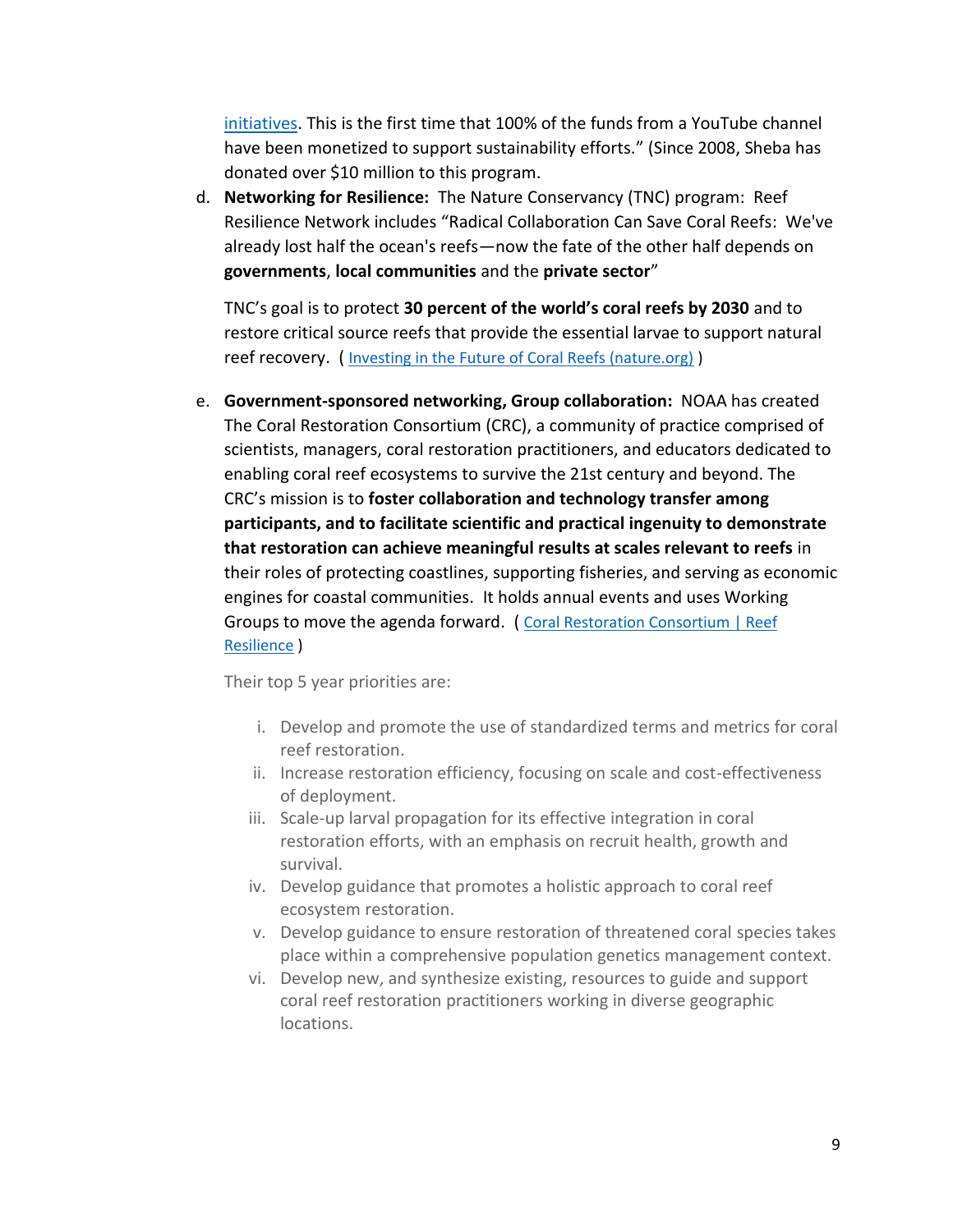[initiatives.](https://www.nature.org/en-us/what-we-do/our-insights/coral-reefs/) This is the first time that 100% of the funds from a YouTube channel have been monetized to support sustainability efforts." (Since 2008, Sheba has donated over \$10 million to this program.

d. **Networking for Resilience:** The Nature Conservancy (TNC) program: Reef Resilience Network includes "Radical Collaboration Can Save Coral Reefs: We've already lost half the ocean's reefs—now the fate of the other half depends on **governments**, **local communities** and the **private sector**"

TNC's goal is to protect **30 percent of the world's coral reefs by 2030** and to restore critical source reefs that provide the essential larvae to support natural reef recovery. ( [Investing in the Future of Coral Reefs \(nature.org\)](https://www.nature.org/en-us/about-us/who-we-are/how-we-work/working-with-companies/cause-marketing/sheba/) )

e. **Government-sponsored networking, Group collaboration:** NOAA has created The Coral Restoration Consortium (CRC), a community of practice comprised of scientists, managers, coral restoration practitioners, and educators dedicated to enabling coral reef ecosystems to survive the 21st century and beyond. The CRC's mission is to **foster collaboration and technology transfer among participants, and to facilitate scientific and practical ingenuity to demonstrate that restoration can achieve meaningful results at scales relevant to reefs** in their roles of protecting coastlines, supporting fisheries, and serving as economic engines for coastal communities. It holds annual events and uses Working Groups to move the agenda forward. ( [Coral Restoration Consortium | Reef](http://crc.reefresilience.org/)  [Resilience](http://crc.reefresilience.org/) )

Their top 5 year priorities are:

- i. Develop and promote the use of standardized terms and metrics for coral reef restoration.
- ii. Increase restoration efficiency, focusing on scale and cost-effectiveness of deployment.
- iii. Scale-up larval propagation for its effective integration in coral restoration efforts, with an emphasis on recruit health, growth and survival.
- iv. Develop guidance that promotes a holistic approach to coral reef ecosystem restoration.
- v. Develop guidance to ensure restoration of threatened coral species takes place within a comprehensive population genetics management context.
- vi. Develop new, and synthesize existing, resources to guide and support coral reef restoration practitioners working in diverse geographic locations.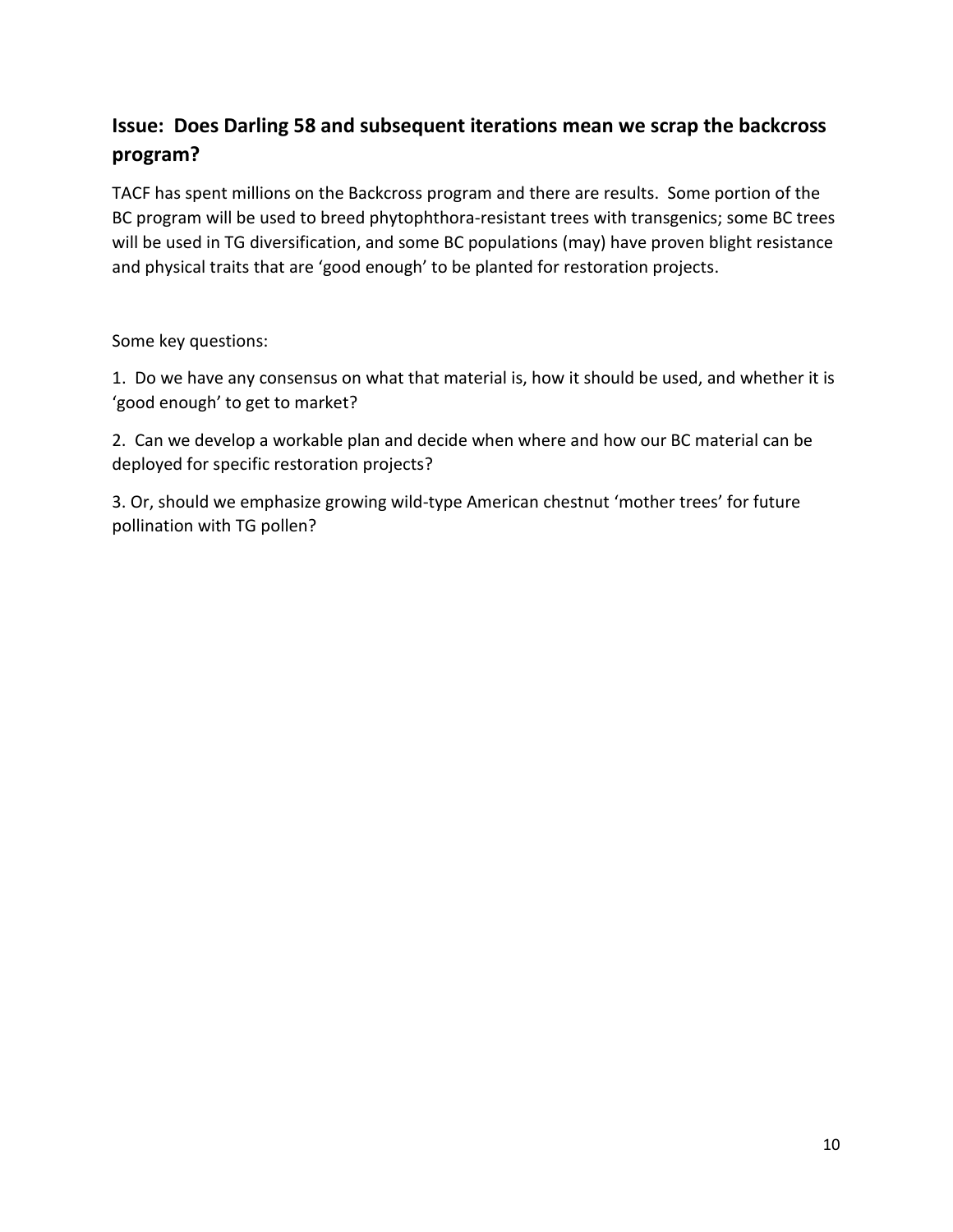# **Issue: Does Darling 58 and subsequent iterations mean we scrap the backcross program?**

TACF has spent millions on the Backcross program and there are results. Some portion of the BC program will be used to breed phytophthora-resistant trees with transgenics; some BC trees will be used in TG diversification, and some BC populations (may) have proven blight resistance and physical traits that are 'good enough' to be planted for restoration projects.

Some key questions:

1. Do we have any consensus on what that material is, how it should be used, and whether it is 'good enough' to get to market?

2. Can we develop a workable plan and decide when where and how our BC material can be deployed for specific restoration projects?

3. Or, should we emphasize growing wild-type American chestnut 'mother trees' for future pollination with TG pollen?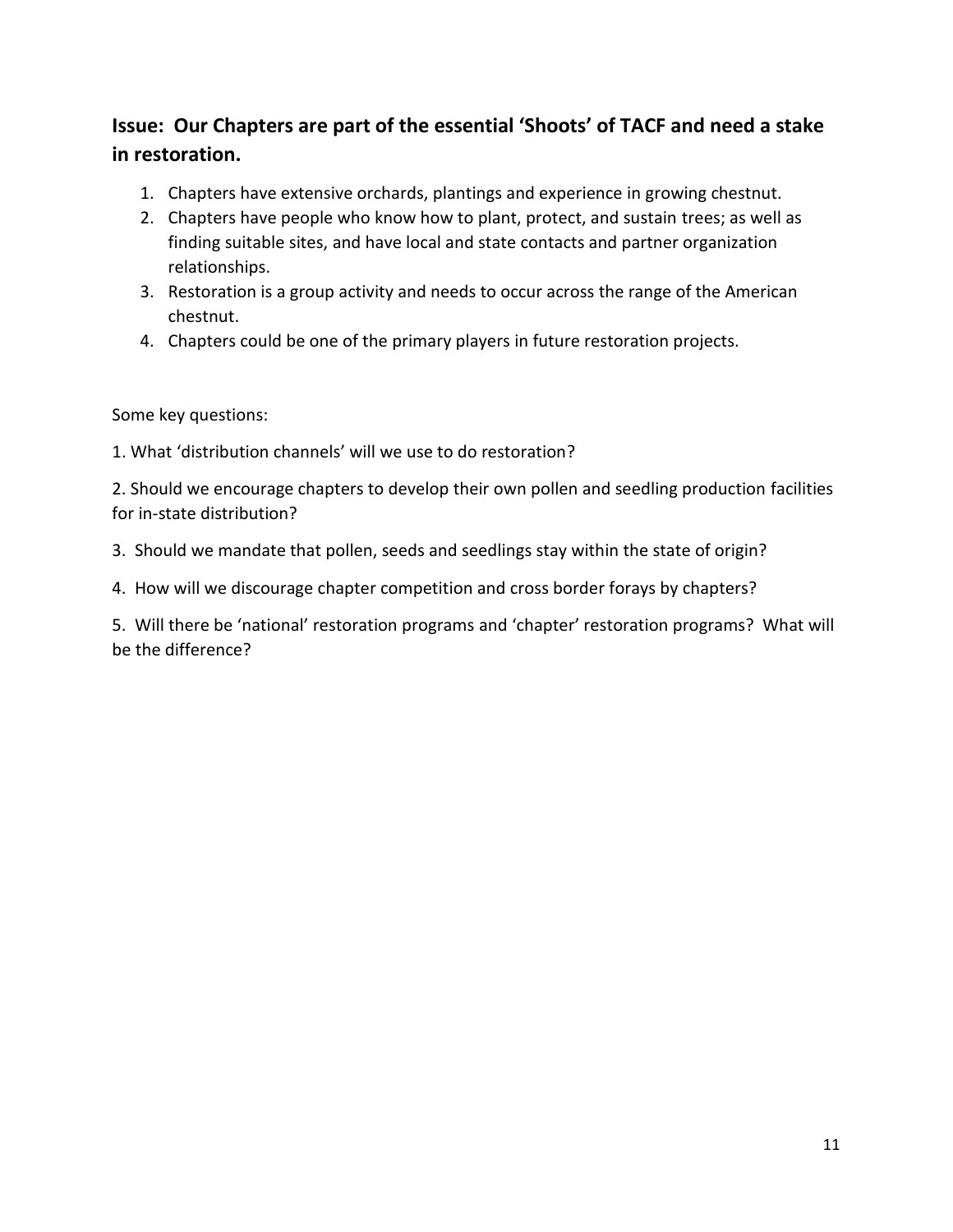# **Issue: Our Chapters are part of the essential 'Shoots' of TACF and need a stake in restoration.**

- 1. Chapters have extensive orchards, plantings and experience in growing chestnut.
- 2. Chapters have people who know how to plant, protect, and sustain trees; as well as finding suitable sites, and have local and state contacts and partner organization relationships.
- 3. Restoration is a group activity and needs to occur across the range of the American chestnut.
- 4. Chapters could be one of the primary players in future restoration projects.

Some key questions:

1. What 'distribution channels' will we use to do restoration?

2. Should we encourage chapters to develop their own pollen and seedling production facilities for in-state distribution?

3. Should we mandate that pollen, seeds and seedlings stay within the state of origin?

4. How will we discourage chapter competition and cross border forays by chapters?

5. Will there be 'national' restoration programs and 'chapter' restoration programs? What will be the difference?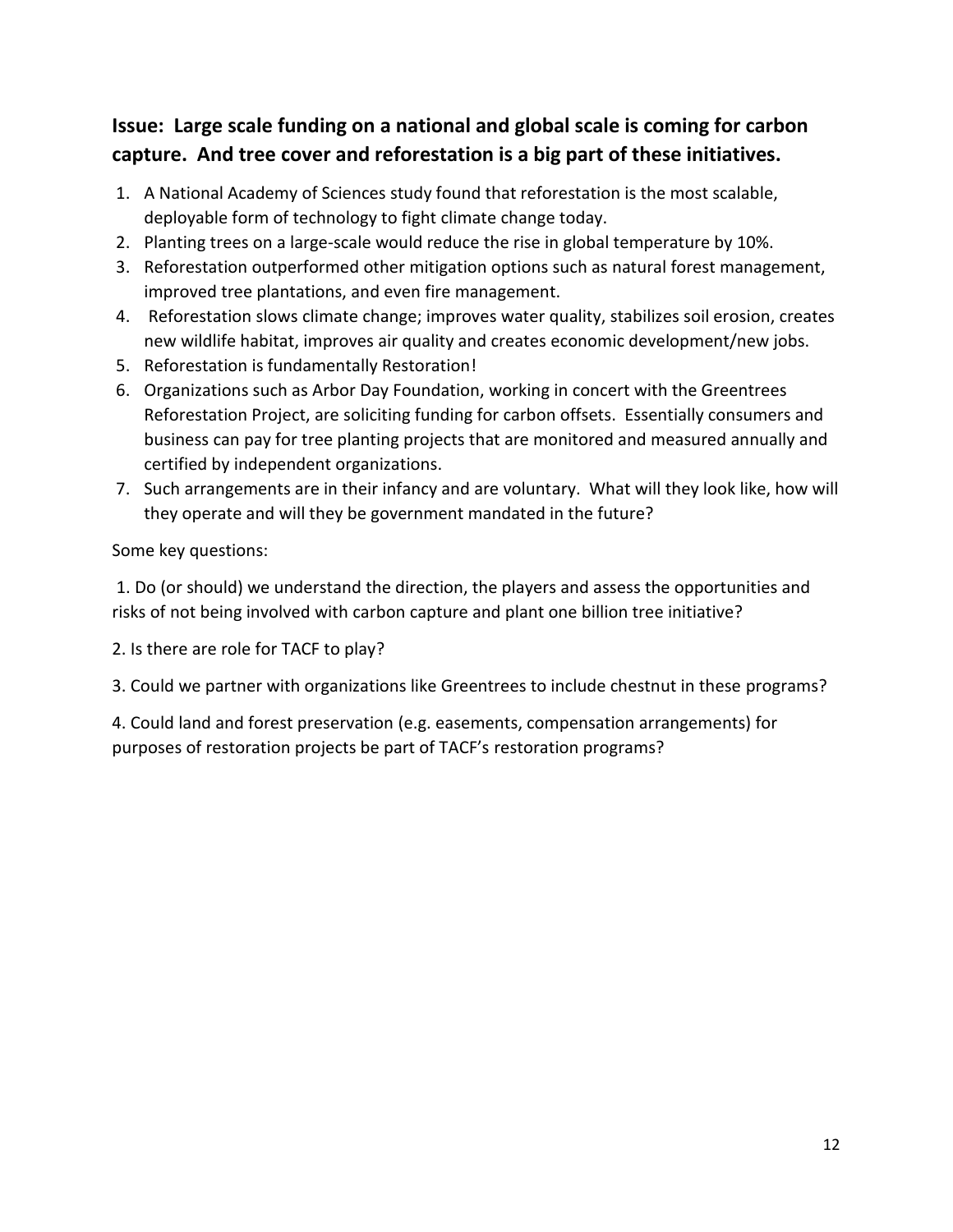### **Issue: Large scale funding on a national and global scale is coming for carbon capture. And tree cover and reforestation is a big part of these initiatives.**

- 1. A National Academy of Sciences study found that reforestation is the most scalable, deployable form of technology to fight climate change today.
- 2. Planting trees on a large-scale would reduce the rise in global temperature by 10%.
- 3. Reforestation outperformed other mitigation options such as natural forest management, improved tree plantations, and even fire management.
- 4. Reforestation slows climate change; improves water quality, stabilizes soil erosion, creates new wildlife habitat, improves air quality and creates economic development/new jobs.
- 5. Reforestation is fundamentally Restoration!
- 6. Organizations such as Arbor Day Foundation, working in concert with the Greentrees Reforestation Project, are soliciting funding for carbon offsets. Essentially consumers and business can pay for tree planting projects that are monitored and measured annually and certified by independent organizations.
- 7. Such arrangements are in their infancy and are voluntary. What will they look like, how will they operate and will they be government mandated in the future?

Some key questions:

1. Do (or should) we understand the direction, the players and assess the opportunities and risks of not being involved with carbon capture and plant one billion tree initiative?

- 2. Is there are role for TACF to play?
- 3. Could we partner with organizations like Greentrees to include chestnut in these programs?

4. Could land and forest preservation (e.g. easements, compensation arrangements) for purposes of restoration projects be part of TACF's restoration programs?